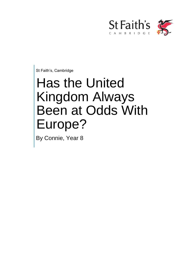

St Faith's, Cambridge

## Has the United Kingdom Always Been at Odds With Europe?

By Connie, Year 8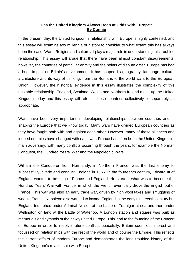## **Has the United Kingdom Always Been at Odds with Europe? By Connie**

In the present day, the United Kingdom's relationship with Europe is highly contested, and this essay will examine two millennia of history to consider to what extent this has always been the case. Wars, Religion and culture all play a major role in understanding this troubled relationship. This essay will argue that there have been almost constant disagreements, however, the countries of particular enmity and the points of dispute differ. Europe has had a huge impact on Britain's development. It has shaped its geography, language, culture, architecture and its way of thinking, from the Romans to the world wars to the European Union. However, the historical evidence in this essay illustrates the complexity of this unstable relationship. England, Scotland, Wales and Northern Ireland make up the United Kingdom today and this essay will refer to these countries collectively or separately as appropriate.

Wars have been very important in developing relationships between countries and in shaping the Europe that we know today. Many wars have divided European countries as they have fought both with and against each other. However, many of these alliances and indeed enemies have changed with each war. France has often been the United Kingdom's main adversary, with many conflicts occurring through the years, for example the Norman Conquest, the Hundred Years' War and the Napoleonic Wars.

William the Conqueror from Normandy, in Northern France, was the last enemy to successfully invade and conquer England in 1066. In the fourteenth century, Edward III of England wanted to be king of France and England. He started, what was to become the Hundred Years' War with France, in which the French eventually drove the English out of France. This war was also an early trade war, driven by high wool taxes and smuggling of wool to France. Napoleon also wanted to invade England in the early nineteenth century but England triumphed under Admiral Nelson at the battle of Trafalgar at sea and then under Wellington on land at the Battle of Waterloo. A London station and square was built as memorials and symbols of the newly united Europe. This lead to the founding of the Concert of Europe in order to resolve future conflicts peacefully. Britain soon lost interest and focussed on relationships with the rest of the world and of course the Empire. This reflects the current affairs of modern Europe and demonstrates the long troubled history of the United Kingdom's relationship with Europe.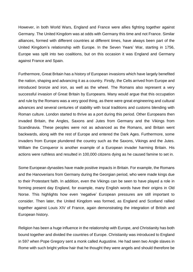However, in both World Wars, England and France were allies fighting together against Germany. The United Kingdom was at odds with Germany this time and not France. Similar alliances, formed with different countries at different times, have always been part of the United Kingdom's relationship with Europe. In the Seven Years' War, starting in 1756, Europe was split into two coalitions, but on this occasion it was England and Germany against France and Spain.

Furthermore, Great Britain has a history of European invasions which have largely benefited the nation, shaping and advancing it as a country. Firstly, the Celts arrived from Europe and introduced bronze and iron, as well as the wheel. The Romans also represent a very successful invasion of Great Britain by Europeans. Many would argue that this occupation and rule by the Romans was a very good thing, as there were great engineering and cultural advances and several centuries of stability with local traditions and customs blending with Roman culture. London started to thrive as a port during this period. Other Europeans then invaded Britain, the Angles, Saxons and Jutes from Germany and the Vikings from Scandinavia. These peoples were not as advanced as the Romans, and Britain went backwards, along with the rest of Europe and entered the Dark Ages. Furthermore, some invaders from Europe plundered the country such as the Saxons, Vikings and the Jutes. William the Conqueror is another example of a European invader harming Britain. His actions were ruthless and resulted in 100,000 citizens dying as he caused famine to set in.

Some European dynasties have made positive impacts in Britain. For example, the Romans and the Hanoverians from Germany during the Georgian period, who were made kings due to their Protestant faith. In addition, even the Vikings can be seen to have played a role in forming present day England, for example, many English words have their origins in Old Norse. This highlights how even 'negative' European pressures are still important to consider. Then later, the United Kingdom was formed, as England and Scotland rallied together against Louis XIV of France, again demonstrating the integration of British and European history.

Religion has been a huge influence in the relationship with Europe, and Christianity has both bound together and divided the countries of Europe. Christianity was introduced to England in 597 when Pope Gregory sent a monk called Augustine. He had seen two Angle slaves in Rome with such bright yellow hair that he thought they were angels and should therefore be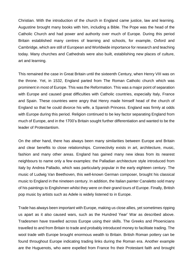Christian. With the introduction of the church in England came justice, law and learning. Augustine brought many books with him, including a Bible. The Pope was the head of the Catholic Church and had power and authority over much of Europe. During this period Britain established many centres of learning and schools, for example, Oxford and Cambridge, which are still of European and Worldwide importance for research and teaching today. Many churches and Cathedrals were also built, establishing new places of culture, art and learning.

This remained the case in Great Britain until the sixteenth Century, when Henry VIII was on the throne. Yet, in 1532, England parted from The Roman Catholic church which was prominent in most of Europe. This was the Reformation. This was a major point of separation with Europe and caused great difficulties with Catholic countries, especially Italy, France and Spain. These countries were angry that Henry made himself head of the church of England so that he could divorce his wife, a Spanish Princess. England was firmly at odds with Europe during this period. Religion continued to be key factor separating England from much of Europe, and in the 1700's Britain sought further differentiation and wanted to be the leader of Protestantism.

On the other hand, there has always been many similarities between Europe and Britain and clear benefits to close relationships. Connectivity exists in art, architecture, music, fashion and many other areas. England has gained many new ideas from its nearest neighbours to name only a few examples: the Palladian architecture style introduced from Italy by Andrea Palladio, which was particularly popular in the early eighteen century. The music of Ludwig Van Beethoven, this well-known German composer, brought his classical music to England in the nineteen century. In addition, the Italian painter Canaletto sold many of his paintings to Englishmen whilst they were on their grand tours of Europe. Finally, British pop music by artists such as Adele is widely listened to in Europe.

Trade has always been important with Europe, making us close allies, yet sometimes ripping us apart as it also caused wars, such as the Hundred Year' War as described above. Tradesmen have travelled across Europe using their skills. The Greeks and Phoenicians travelled to and from Britain to trade and probably introduced money to facilitate trading. The wool trade with Europe brought enormous wealth to Britain. British Roman pottery can be found throughout Europe indicating trading links during the Roman era. Another example are the Huguenots, who were expelled from France fro their Protestant faith and brought